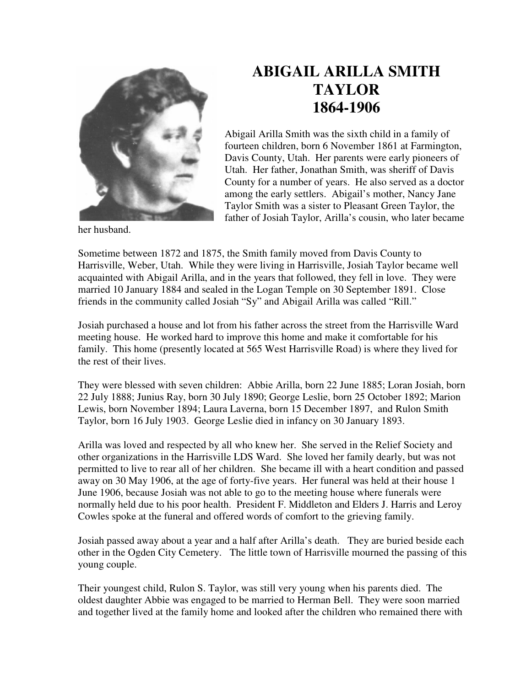

## **ABIGAIL ARILLA SMITH TAYLOR 1864-1906**

Abigail Arilla Smith was the sixth child in a family of fourteen children, born 6 November 1861 at Farmington, Davis County, Utah. Her parents were early pioneers of Utah. Her father, Jonathan Smith, was sheriff of Davis County for a number of years. He also served as a doctor among the early settlers. Abigail's mother, Nancy Jane Taylor Smith was a sister to Pleasant Green Taylor, the father of Josiah Taylor, Arilla's cousin, who later became

her husband.

Sometime between 1872 and 1875, the Smith family moved from Davis County to Harrisville, Weber, Utah. While they were living in Harrisville, Josiah Taylor became well acquainted with Abigail Arilla, and in the years that followed, they fell in love. They were married 10 January 1884 and sealed in the Logan Temple on 30 September 1891. Close friends in the community called Josiah "Sy" and Abigail Arilla was called "Rill."

Josiah purchased a house and lot from his father across the street from the Harrisville Ward meeting house. He worked hard to improve this home and make it comfortable for his family. This home (presently located at 565 West Harrisville Road) is where they lived for the rest of their lives.

They were blessed with seven children: Abbie Arilla, born 22 June 1885; Loran Josiah, born 22 July 1888; Junius Ray, born 30 July 1890; George Leslie, born 25 October 1892; Marion Lewis, born November 1894; Laura Laverna, born 15 December 1897, and Rulon Smith Taylor, born 16 July 1903. George Leslie died in infancy on 30 January 1893.

Arilla was loved and respected by all who knew her. She served in the Relief Society and other organizations in the Harrisville LDS Ward. She loved her family dearly, but was not permitted to live to rear all of her children. She became ill with a heart condition and passed away on 30 May 1906, at the age of forty-five years. Her funeral was held at their house 1 June 1906, because Josiah was not able to go to the meeting house where funerals were normally held due to his poor health. President F. Middleton and Elders J. Harris and Leroy Cowles spoke at the funeral and offered words of comfort to the grieving family.

Josiah passed away about a year and a half after Arilla's death. They are buried beside each other in the Ogden City Cemetery. The little town of Harrisville mourned the passing of this young couple.

Their youngest child, Rulon S. Taylor, was still very young when his parents died. The oldest daughter Abbie was engaged to be married to Herman Bell. They were soon married and together lived at the family home and looked after the children who remained there with